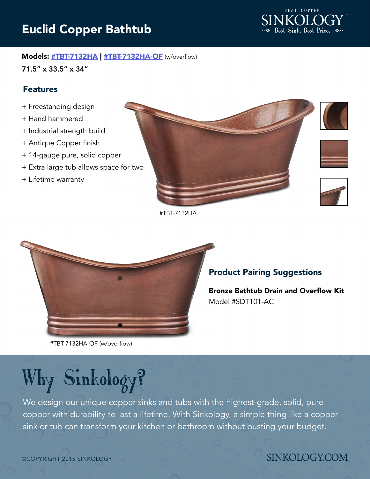# Euclid Copper Bathtub



### Models: [#TBT-7132HA](http://www.sinkology.com/bath-tubs/tbt-7132ha/) | [#TBT-7132HA-OF](http://www.sinkology.com/bath-tubs/tbt-7132ha-2/) (w/overflow)

71.5" x 33.5" x 34"

### Features

- + Freestanding design
- + Hand hammered
- + Industrial strength build
- + Antique Copper finish
- + 14-gauge pure, solid copper
- + Extra large tub allows space for two
- + Lifetime warranty



#TBT-7132HA



### Product Pairing Suggestions

[Bronze Bathtub Drain and Overflow Kit](http://www.sinkology.com/bath-accessory/copper-bathtub-lift-turn-drain-and-overflow-kit/) Model #SDT101-AC

#TBT-7132HA-OF (w/overflow)

# Why Sinkology?

We design our unique copper sinks and tubs with the highest-grade, solid, pure copper with durability to last a lifetime. With Sinkology, a simple thing like a copper sink or tub can transform your kitchen or bathroom without busting your budget.

# **SINKOLOGY.COM**